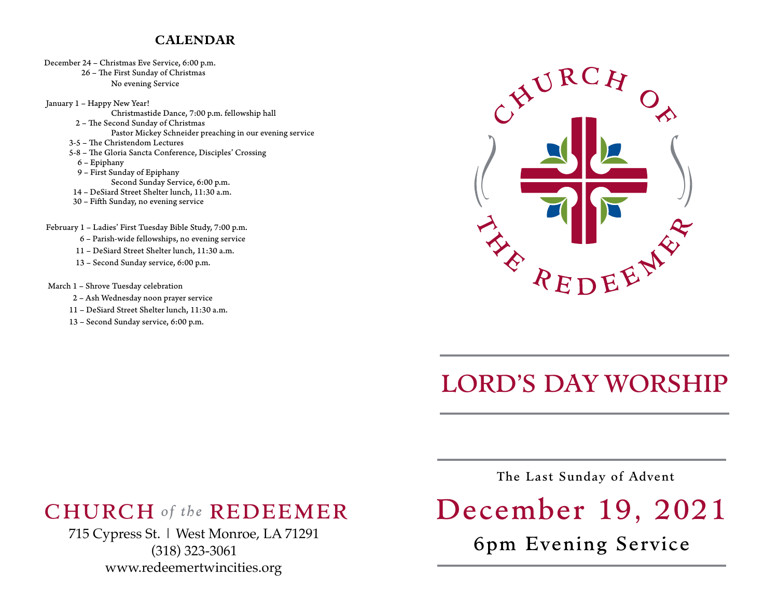## **CALENDAR**

December 24 – Christmas Eve Service, 6:00 p.m.

26 - The First Sunday of Christmas No evening Service

 January 1 – Happy New Year! Christmastide Dance, 7:00 p.m. fellowship hall 2 - The Second Sunday of Christmas Pastor Mickey Schneider preaching in our evening service 3-5 – The Christendom Lectures 5-8 – The Gloria Sancta Conference, Disciples' Crossing 6 – Epiphany 9 – First Sunday of Epiphany Second Sunday Service, 6:00 p.m. 14 – DeSiard Street Shelter lunch, 11:30 a.m. 30 – Fifh Sunday, no evening service

February 1 – Ladies' First Tuesday Bible Study, 7:00 p.m.

6 – Parish-wide fellowships, no evening service

11 – DeSiard Street Shelter lunch, 11:30 a.m.

13 – Second Sunday service, 6:00 p.m.

March 1 – Shrove Tuesday celebration

- 2 Ash Wednesday noon prayer service
- 11 DeSiard Street Shelter lunch, 11:30 a.m.
- 13 Second Sunday service, 6:00 p.m.



## LORD'S DAY WORSHIP

## CHURCH *of the* REDEEMER

715 Cypress St. | West Monroe, LA 71291 (318) 323-3061 [www.redeemertwincities.org](http://www.redeemertwincities.org)

The Last Sunday of Advent

## December 19, 2021

6pm Evening Service